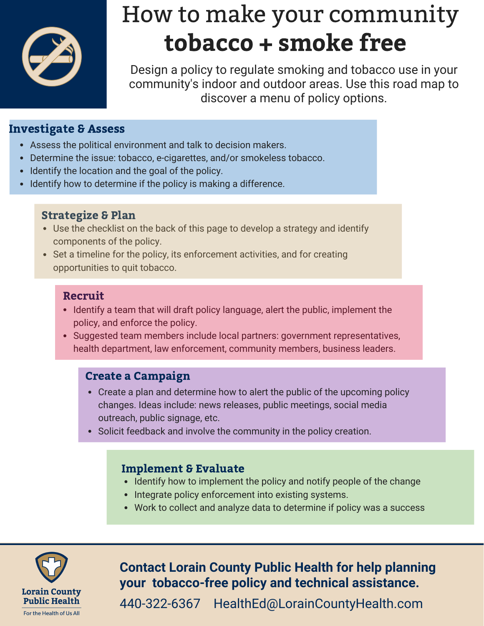

# How to make your community tobacco + smoke free

Design a policy to regulate smoking and tobacco use in your community's indoor and outdoor areas. Use this road map to discover a menu of policy options.

# Investigate & Assess

- Assess the political environment and talk to decision makers.
- Determine the issue: tobacco, e-cigarettes, and/or smokeless tobacco.
- Identify the location and the goal of the policy.
- Identify how to determine if the policy is making a difference.

## Strategize & Plan

- Use the checklist on the back of this page to develop a strategy and identify components of the policy.
- Set a timeline for the policy, its enforcement activities, and for creating opportunities to quit tobacco.

## Recruit

- Identify a team that will draft policy language, alert the public, implement the policy, and enforce the policy.
- Suggested team members include local partners: government representatives, health department, law enforcement, community members, business leaders.

# Create a Campaign

- Create a plan and determine how to alert the public of the upcoming policy changes. Ideas include: news releases, public meetings, social media outreach, public signage, etc.
- Solicit feedback and involve the community in the policy creation.

## Implement & Evaluate

- Identify how to implement the policy and notify people of the change
- Integrate policy enforcement into existing systems.
- Work to collect and analyze data to determine if policy was a success



**Contact Lorain County Public Health for help planning your tobacco-free policy and technical assistance.**

440-322-6367 HealthEd@LorainCountyHealth.com